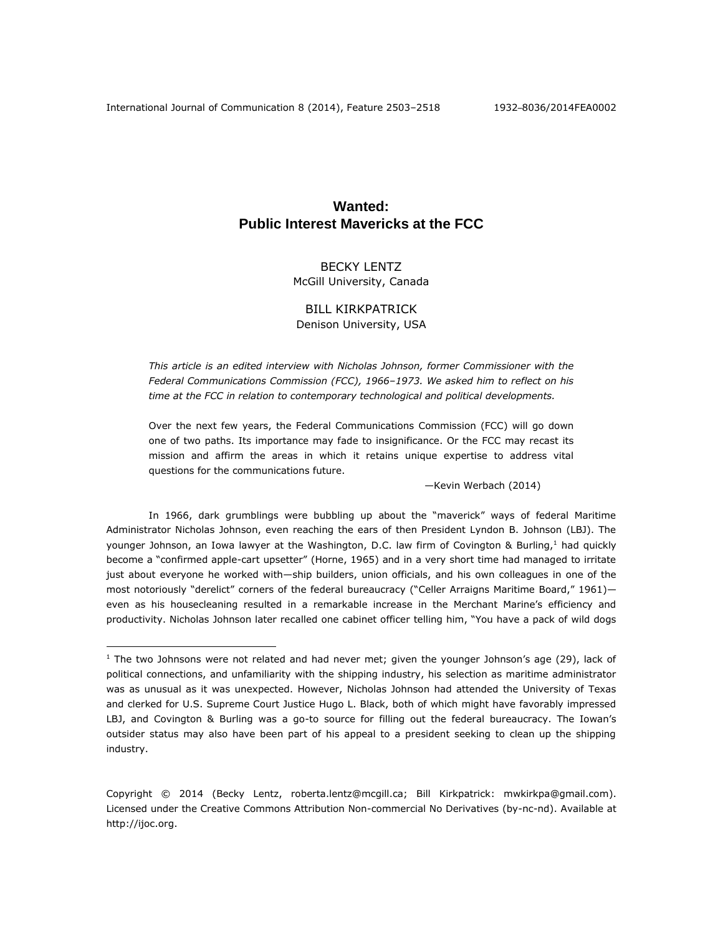# **Wanted: Public Interest Mavericks at the FCC**

## BECKY LENTZ McGill University, Canada

## BILL KIRKPATRICK Denison University, USA

*This article is an edited interview with Nicholas Johnson, former Commissioner with the Federal Communications Commission (FCC), 1966–1973. We asked him to reflect on his time at the FCC in relation to contemporary technological and political developments.* 

Over the next few years, the Federal Communications Commission (FCC) will go down one of two paths. Its importance may fade to insignificance. Or the FCC may recast its mission and affirm the areas in which it retains unique expertise to address vital questions for the communications future.

—Kevin Werbach (2014)

In 1966, dark grumblings were bubbling up about the "maverick" ways of federal Maritime Administrator Nicholas Johnson, even reaching the ears of then President Lyndon B. Johnson (LBJ). The younger Johnson, an Iowa lawyer at the Washington, D.C. law firm of Covington & Burling,<sup>1</sup> had quickly become a "confirmed apple-cart upsetter" (Horne, 1965) and in a very short time had managed to irritate just about everyone he worked with—ship builders, union officials, and his own colleagues in one of the most notoriously "derelict" corners of the federal bureaucracy ("Celler Arraigns Maritime Board," 1961)even as his housecleaning resulted in a remarkable increase in the Merchant Marine's efficiency and productivity. Nicholas Johnson later recalled one cabinet officer telling him, "You have a pack of wild dogs

 $1$  The two Johnsons were not related and had never met; given the younger Johnson's age (29), lack of political connections, and unfamiliarity with the shipping industry, his selection as maritime administrator was as unusual as it was unexpected. However, Nicholas Johnson had attended the University of Texas and clerked for U.S. Supreme Court Justice Hugo L. Black, both of which might have favorably impressed LBJ, and Covington & Burling was a go-to source for filling out the federal bureaucracy. The Iowan's outsider status may also have been part of his appeal to a president seeking to clean up the shipping industry.

Copyright © 2014 (Becky Lentz, [roberta.lentz@mcgill.ca;](mailto:roberta.lentz@mcgill.ca) Bill Kirkpatrick: mwkirkpa@gmail.com). Licensed under the Creative Commons Attribution Non-commercial No Derivatives (by-nc-nd). Available at [http://ijoc.org.](http://ijoc.org/)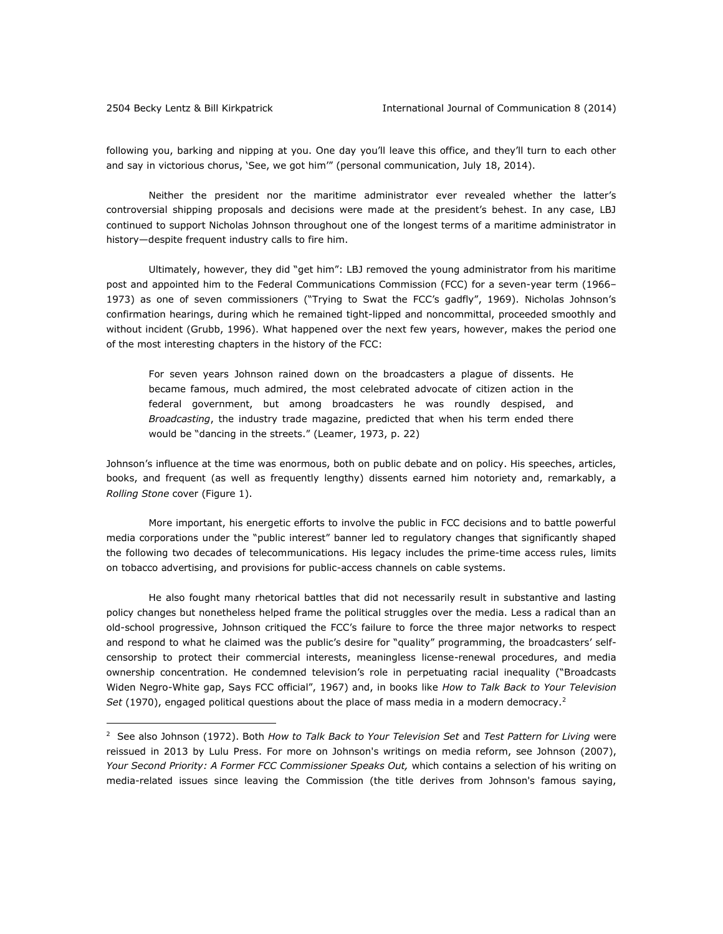$\overline{a}$ 

following you, barking and nipping at you. One day you'll leave this office, and they'll turn to each other and say in victorious chorus, 'See, we got him'" (personal communication, July 18, 2014).

Neither the president nor the maritime administrator ever revealed whether the latter's controversial shipping proposals and decisions were made at the president's behest. In any case, LBJ continued to support Nicholas Johnson throughout one of the longest terms of a maritime administrator in history—despite frequent industry calls to fire him.

Ultimately, however, they did "get him": LBJ removed the young administrator from his maritime post and appointed him to the Federal Communications Commission (FCC) for a seven-year term (1966– 1973) as one of seven commissioners ("Trying to Swat the FCC's gadfly", 1969). Nicholas Johnson's confirmation hearings, during which he remained tight-lipped and noncommittal, proceeded smoothly and without incident (Grubb, 1996). What happened over the next few years, however, makes the period one of the most interesting chapters in the history of the FCC:

For seven years Johnson rained down on the broadcasters a plague of dissents. He became famous, much admired, the most celebrated advocate of citizen action in the federal government, but among broadcasters he was roundly despised, and *Broadcasting*, the industry trade magazine, predicted that when his term ended there would be "dancing in the streets." (Leamer, 1973, p. 22)

Johnson's influence at the time was enormous, both on public debate and on policy. His speeches, articles, books, and frequent (as well as frequently lengthy) dissents earned him notoriety and, remarkably, a *Rolling Stone* cover (Figure 1).

More important, his energetic efforts to involve the public in FCC decisions and to battle powerful media corporations under the "public interest" banner led to regulatory changes that significantly shaped the following two decades of telecommunications. His legacy includes the prime-time access rules, limits on tobacco advertising, and provisions for public-access channels on cable systems.

He also fought many rhetorical battles that did not necessarily result in substantive and lasting policy changes but nonetheless helped frame the political struggles over the media. Less a radical than an old-school progressive, Johnson critiqued the FCC's failure to force the three major networks to respect and respond to what he claimed was the public's desire for "quality" programming, the broadcasters' selfcensorship to protect their commercial interests, meaningless license-renewal procedures, and media ownership concentration. He condemned television's role in perpetuating racial inequality ("Broadcasts Widen Negro-White gap, Says FCC official", 1967) and, in books like *How to Talk Back to Your Television*  Set (1970), engaged political questions about the place of mass media in a modern democracy.<sup>2</sup>

<sup>2</sup> See also Johnson (1972). Both *How to Talk Back to Your Television Set* and *Test Pattern for Living* were reissued in 2013 by Lulu Press. For more on Johnson's writings on media reform, see Johnson (2007), *Your Second Priority: A Former FCC Commissioner Speaks Out,* which contains a selection of his writing on media-related issues since leaving the Commission (the title derives from Johnson's famous saying,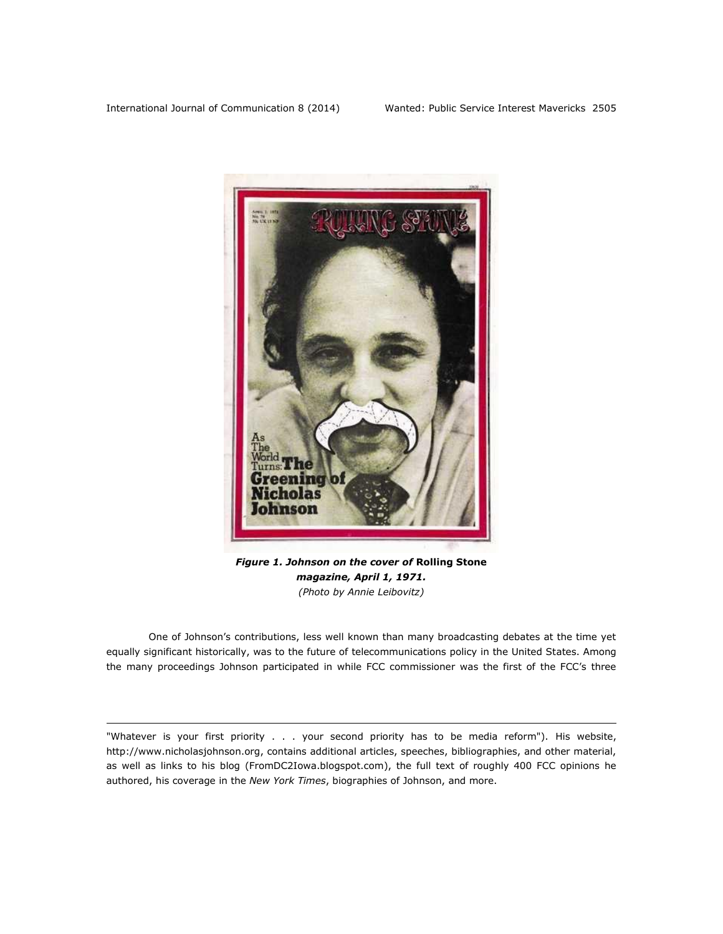$\overline{a}$ 



*Figure 1. Johnson on the cover of* **Rolling Stone** *magazine, April 1, 1971. (Photo by Annie Leibovitz)*

One of Johnson's contributions, less well known than many broadcasting debates at the time yet equally significant historically, was to the future of telecommunications policy in the United States. Among the many proceedings Johnson participated in while FCC commissioner was the first of the FCC's three

<sup>&</sup>quot;Whatever is your first priority . . . your second priority has to be media reform"). His website, [http://www.nicholasjohnson.org,](http://www.nicholasjohnson.org/) contains additional articles, speeches, bibliographies, and other material, as well as links to his blog [\(FromDC2Iowa.blogspot.com\)](http://fromdc2iowa.blogspot.com/), the full text of roughly 400 FCC opinions he authored, his coverage in the *New York Times*, biographies of Johnson, and more.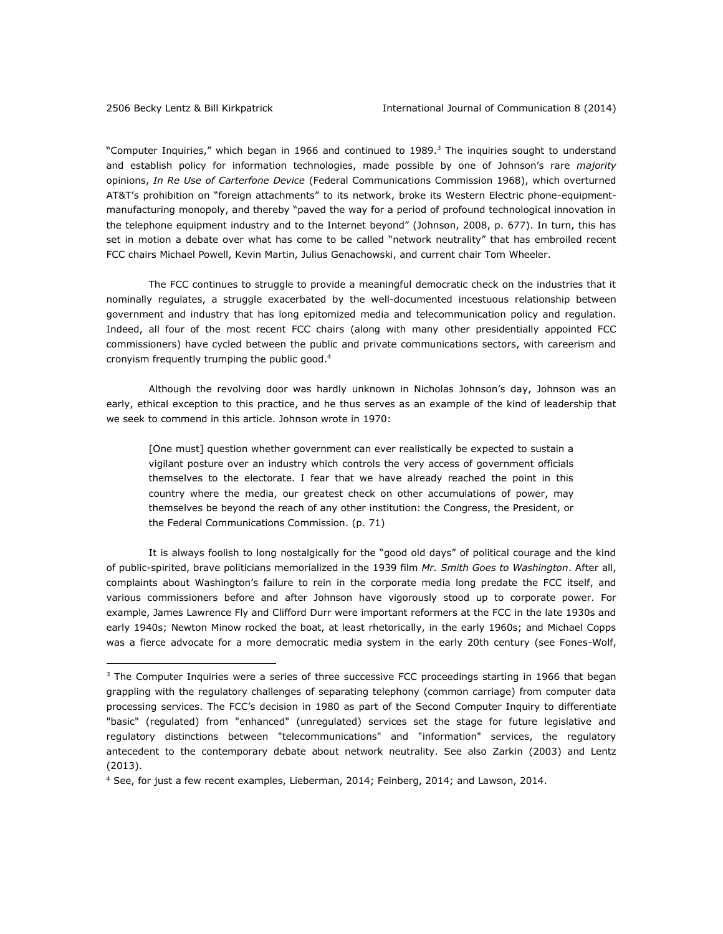$\overline{a}$ 

"Computer Inquiries," which began in 1966 and continued to 1989.<sup>3</sup> The inquiries sought to understand and establish policy for information technologies, made possible by one of Johnson's rare *majority* opinions, *In Re Use of Carterfone Device* (Federal Communications Commission 1968), which overturned AT&T's prohibition on "foreign attachments" to its network, broke its Western Electric phone-equipmentmanufacturing monopoly, and thereby "paved the way for a period of profound technological innovation in the telephone equipment industry and to the Internet beyond" (Johnson, 2008, p. 677). In turn, this has set in motion a debate over what has come to be called "network neutrality" that has embroiled recent FCC chairs Michael Powell, Kevin Martin, Julius Genachowski, and current chair Tom Wheeler.

The FCC continues to struggle to provide a meaningful democratic check on the industries that it nominally regulates, a struggle exacerbated by the well-documented incestuous relationship between government and industry that has long epitomized media and telecommunication policy and regulation. Indeed, all four of the most recent FCC chairs (along with many other presidentially appointed FCC commissioners) have cycled between the public and private communications sectors, with careerism and cronyism frequently trumping the public good.<sup>4</sup>

Although the revolving door was hardly unknown in Nicholas Johnson's day, Johnson was an early, ethical exception to this practice, and he thus serves as an example of the kind of leadership that we seek to commend in this article. Johnson wrote in 1970:

[One must] question whether government can ever realistically be expected to sustain a vigilant posture over an industry which controls the very access of government officials themselves to the electorate. I fear that we have already reached the point in this country where the media, our greatest check on other accumulations of power, may themselves be beyond the reach of any other institution: the Congress, the President, or the Federal Communications Commission. (p. 71)

It is always foolish to long nostalgically for the "good old days" of political courage and the kind of public-spirited, brave politicians memorialized in the 1939 film *Mr. Smith Goes to Washington*. After all, complaints about Washington's failure to rein in the corporate media long predate the FCC itself, and various commissioners before and after Johnson have vigorously stood up to corporate power. For example, James Lawrence Fly and Clifford Durr were important reformers at the FCC in the late 1930s and early 1940s; Newton Minow rocked the boat, at least rhetorically, in the early 1960s; and Michael Copps was a fierce advocate for a more democratic media system in the early 20th century (see Fones-Wolf,

<sup>&</sup>lt;sup>3</sup> The Computer Inquiries were a series of three successive FCC proceedings starting in 1966 that began grappling with the regulatory challenges of separating telephony (common carriage) from computer data processing services. The FCC's decision in 1980 as part of the Second Computer Inquiry to differentiate "basic" (regulated) from "enhanced" (unregulated) services set the stage for future legislative and regulatory distinctions between "telecommunications" and "information" services, the regulatory antecedent to the contemporary debate about network neutrality. See also Zarkin (2003) and Lentz (2013).

<sup>4</sup> See, for just a few recent examples, Lieberman, 2014; Feinberg, 2014; and Lawson, 2014.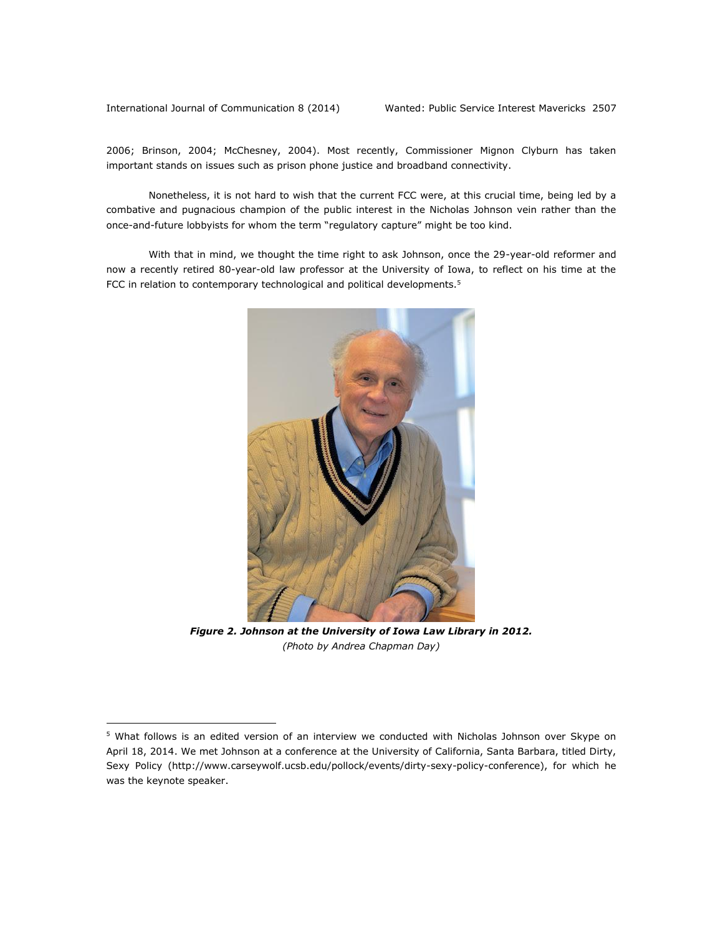International Journal of Communication 8 (2014) Wanted: Public Service Interest Mavericks 2507

 $\overline{a}$ 

2006; Brinson, 2004; McChesney, 2004). Most recently, Commissioner Mignon Clyburn has taken important stands on issues such as prison phone justice and broadband connectivity.

Nonetheless, it is not hard to wish that the current FCC were, at this crucial time, being led by a combative and pugnacious champion of the public interest in the Nicholas Johnson vein rather than the once-and-future lobbyists for whom the term "regulatory capture" might be too kind.

With that in mind, we thought the time right to ask Johnson, once the 29-year-old reformer and now a recently retired 80-year-old law professor at the University of Iowa, to reflect on his time at the FCC in relation to contemporary technological and political developments.<sup>5</sup>



*Figure 2. Johnson at the University of Iowa Law Library in 2012. (Photo by Andrea Chapman Day)*

<sup>&</sup>lt;sup>5</sup> What follows is an edited version of an interview we conducted with Nicholas Johnson over Skype on April 18, 2014. We met Johnson at a conference at the University of California, Santa Barbara, titled Dirty, Sexy Policy [\(http://www.carseywolf.ucsb.edu/pollock/events/dirty-sexy-policy-conference\)](http://www.carseywolf.ucsb.edu/pollock/events/dirty-sexy-policy-conference), for which he was the keynote speaker.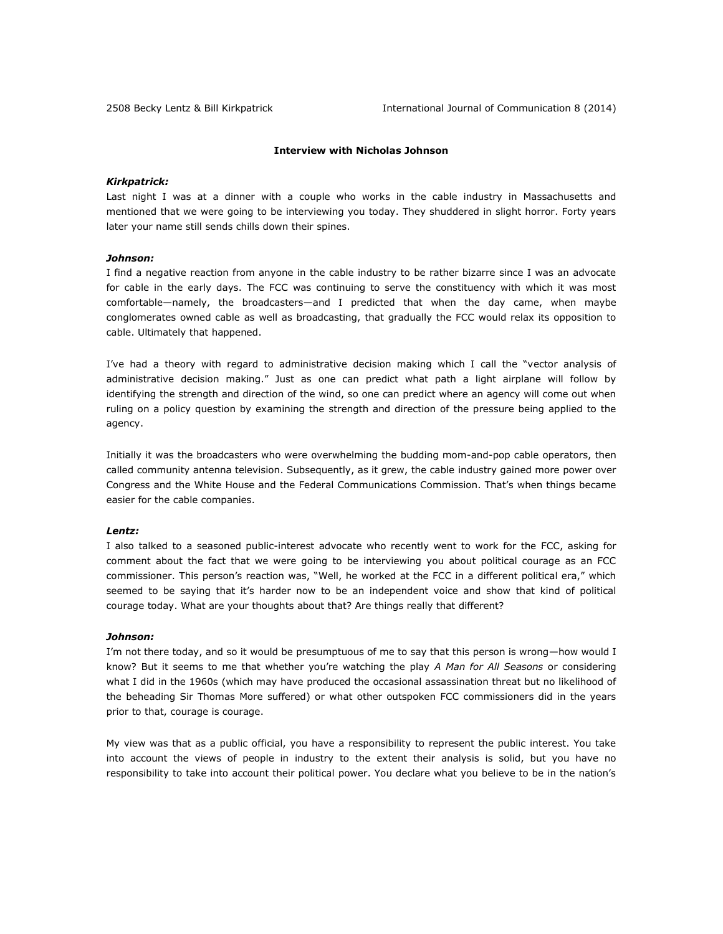## **Interview with Nicholas Johnson**

#### *Kirkpatrick:*

Last night I was at a dinner with a couple who works in the cable industry in Massachusetts and mentioned that we were going to be interviewing you today. They shuddered in slight horror. Forty years later your name still sends chills down their spines.

## *Johnson:*

I find a negative reaction from anyone in the cable industry to be rather bizarre since I was an advocate for cable in the early days. The FCC was continuing to serve the constituency with which it was most comfortable—namely, the broadcasters—and I predicted that when the day came, when maybe conglomerates owned cable as well as broadcasting, that gradually the FCC would relax its opposition to cable. Ultimately that happened.

I've had a theory with regard to administrative decision making which I call the "vector analysis of administrative decision making." Just as one can predict what path a light airplane will follow by identifying the strength and direction of the wind, so one can predict where an agency will come out when ruling on a policy question by examining the strength and direction of the pressure being applied to the agency.

Initially it was the broadcasters who were overwhelming the budding mom-and-pop cable operators, then called community antenna television. Subsequently, as it grew, the cable industry gained more power over Congress and the White House and the Federal Communications Commission. That's when things became easier for the cable companies.

#### *Lentz:*

I also talked to a seasoned public-interest advocate who recently went to work for the FCC, asking for comment about the fact that we were going to be interviewing you about political courage as an FCC commissioner. This person's reaction was, "Well, he worked at the FCC in a different political era," which seemed to be saying that it's harder now to be an independent voice and show that kind of political courage today. What are your thoughts about that? Are things really that different?

#### *Johnson:*

I'm not there today, and so it would be presumptuous of me to say that this person is wrong—how would I know? But it seems to me that whether you're watching the play *A Man for All Seasons* or considering what I did in the 1960s (which may have produced the occasional assassination threat but no likelihood of the beheading Sir Thomas More suffered) or what other outspoken FCC commissioners did in the years prior to that, courage is courage.

My view was that as a public official, you have a responsibility to represent the public interest. You take into account the views of people in industry to the extent their analysis is solid, but you have no responsibility to take into account their political power. You declare what you believe to be in the nation's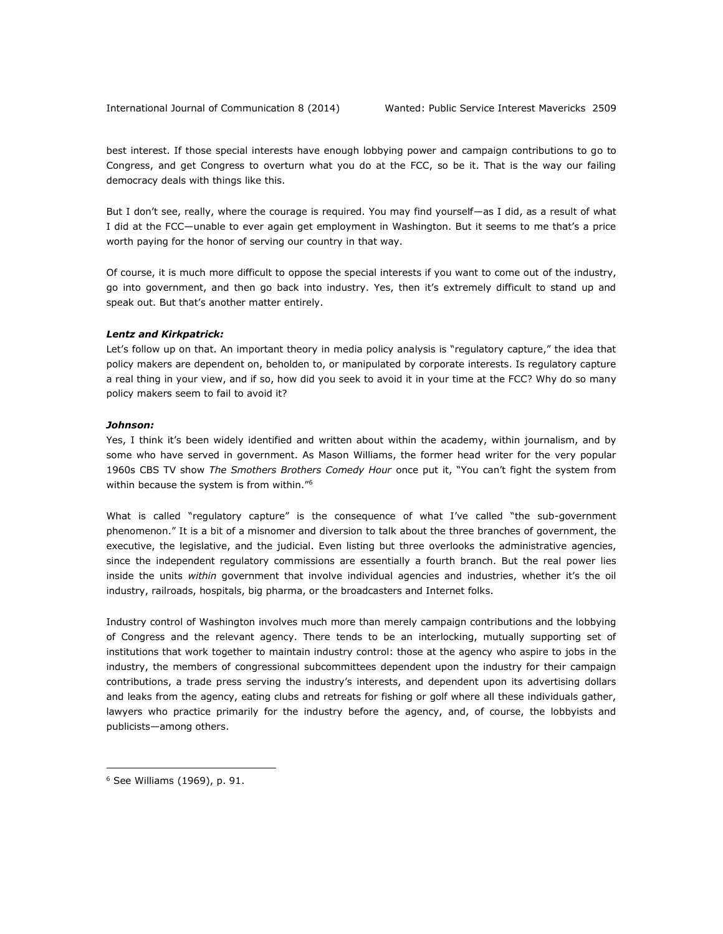best interest. If those special interests have enough lobbying power and campaign contributions to go to Congress, and get Congress to overturn what you do at the FCC, so be it. That is the way our failing democracy deals with things like this.

But I don't see, really, where the courage is required. You may find yourself—as I did, as a result of what I did at the FCC—unable to ever again get employment in Washington. But it seems to me that's a price worth paying for the honor of serving our country in that way.

Of course, it is much more difficult to oppose the special interests if you want to come out of the industry, go into government, and then go back into industry. Yes, then it's extremely difficult to stand up and speak out. But that's another matter entirely.

#### *Lentz and Kirkpatrick:*

Let's follow up on that. An important theory in media policy analysis is "regulatory capture," the idea that policy makers are dependent on, beholden to, or manipulated by corporate interests. Is regulatory capture a real thing in your view, and if so, how did you seek to avoid it in your time at the FCC? Why do so many policy makers seem to fail to avoid it?

#### *Johnson:*

Yes, I think it's been widely identified and written about within the academy, within journalism, and by some who have served in government. As Mason Williams, the former head writer for the very popular 1960s CBS TV show *The Smothers Brothers Comedy Hour* once put it, "You can't fight the system from within because the system is from within."<sup>6</sup>

What is called "regulatory capture" is the consequence of what I've called "the sub-government phenomenon." It is a bit of a misnomer and diversion to talk about the three branches of government, the executive, the legislative, and the judicial. Even listing but three overlooks the administrative agencies, since the independent regulatory commissions are essentially a fourth branch. But the real power lies inside the units *within* government that involve individual agencies and industries, whether it's the oil industry, railroads, hospitals, big pharma, or the broadcasters and Internet folks.

Industry control of Washington involves much more than merely campaign contributions and the lobbying of Congress and the relevant agency. There tends to be an interlocking, mutually supporting set of institutions that work together to maintain industry control: those at the agency who aspire to jobs in the industry, the members of congressional subcommittees dependent upon the industry for their campaign contributions, a trade press serving the industry's interests, and dependent upon its advertising dollars and leaks from the agency, eating clubs and retreats for fishing or golf where all these individuals gather, lawyers who practice primarily for the industry before the agency, and, of course, the lobbyists and publicists—among others.

<sup>6</sup> See Williams (1969), p. 91.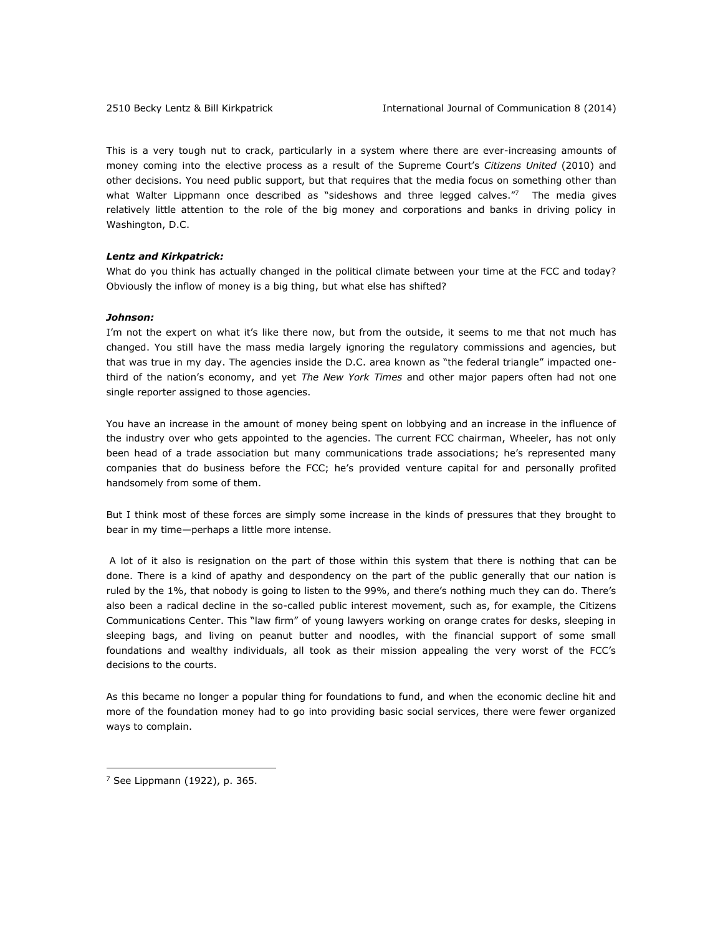This is a very tough nut to crack, particularly in a system where there are ever-increasing amounts of money coming into the elective process as a result of the Supreme Court's *Citizens United* (2010) and other decisions. You need public support, but that requires that the media focus on something other than what Walter Lippmann once described as "sideshows and three legged calves." The media gives relatively little attention to the role of the big money and corporations and banks in driving policy in Washington, D.C.

#### *Lentz and Kirkpatrick:*

What do you think has actually changed in the political climate between your time at the FCC and today? Obviously the inflow of money is a big thing, but what else has shifted?

#### *Johnson:*

I'm not the expert on what it's like there now, but from the outside, it seems to me that not much has changed. You still have the mass media largely ignoring the regulatory commissions and agencies, but that was true in my day. The agencies inside the D.C. area known as "the federal triangle" impacted onethird of the nation's economy, and yet *The New York Times* and other major papers often had not one single reporter assigned to those agencies.

You have an increase in the amount of money being spent on lobbying and an increase in the influence of the industry over who gets appointed to the agencies. The current FCC chairman, Wheeler, has not only been head of a trade association but many communications trade associations; he's represented many companies that do business before the FCC; he's provided venture capital for and personally profited handsomely from some of them.

But I think most of these forces are simply some increase in the kinds of pressures that they brought to bear in my time—perhaps a little more intense.

A lot of it also is resignation on the part of those within this system that there is nothing that can be done. There is a kind of apathy and despondency on the part of the public generally that our nation is ruled by the 1%, that nobody is going to listen to the 99%, and there's nothing much they can do. There's also been a radical decline in the so-called public interest movement, such as, for example, the Citizens Communications Center. This "law firm" of young lawyers working on orange crates for desks, sleeping in sleeping bags, and living on peanut butter and noodles, with the financial support of some small foundations and wealthy individuals, all took as their mission appealing the very worst of the FCC's decisions to the courts.

As this became no longer a popular thing for foundations to fund, and when the economic decline hit and more of the foundation money had to go into providing basic social services, there were fewer organized ways to complain.

 $<sup>7</sup>$  See Lippmann (1922), p. 365.</sup>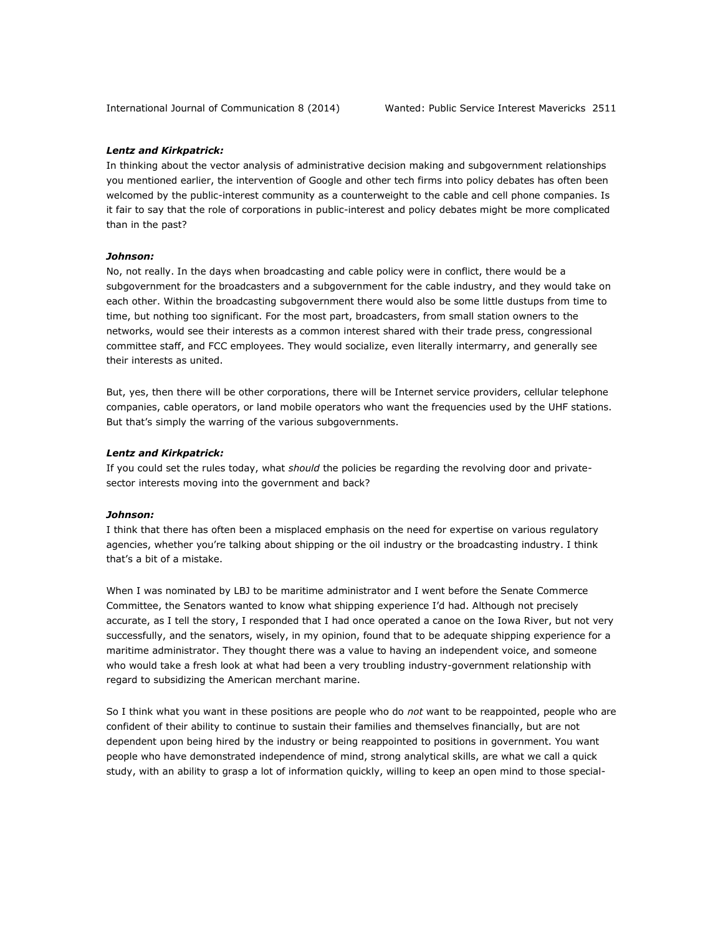## *Lentz and Kirkpatrick:*

In thinking about the vector analysis of administrative decision making and subgovernment relationships you mentioned earlier, the intervention of Google and other tech firms into policy debates has often been welcomed by the public-interest community as a counterweight to the cable and cell phone companies. Is it fair to say that the role of corporations in public-interest and policy debates might be more complicated than in the past?

## *Johnson:*

No, not really. In the days when broadcasting and cable policy were in conflict, there would be a subgovernment for the broadcasters and a subgovernment for the cable industry, and they would take on each other. Within the broadcasting subgovernment there would also be some little dustups from time to time, but nothing too significant. For the most part, broadcasters, from small station owners to the networks, would see their interests as a common interest shared with their trade press, congressional committee staff, and FCC employees. They would socialize, even literally intermarry, and generally see their interests as united.

But, yes, then there will be other corporations, there will be Internet service providers, cellular telephone companies, cable operators, or land mobile operators who want the frequencies used by the UHF stations. But that's simply the warring of the various subgovernments.

#### *Lentz and Kirkpatrick:*

If you could set the rules today, what *should* the policies be regarding the revolving door and privatesector interests moving into the government and back?

#### *Johnson:*

I think that there has often been a misplaced emphasis on the need for expertise on various regulatory agencies, whether you're talking about shipping or the oil industry or the broadcasting industry. I think that's a bit of a mistake.

When I was nominated by LBJ to be maritime administrator and I went before the Senate Commerce Committee, the Senators wanted to know what shipping experience I'd had. Although not precisely accurate, as I tell the story, I responded that I had once operated a canoe on the Iowa River, but not very successfully, and the senators, wisely, in my opinion, found that to be adequate shipping experience for a maritime administrator. They thought there was a value to having an independent voice, and someone who would take a fresh look at what had been a very troubling industry-government relationship with regard to subsidizing the American merchant marine.

So I think what you want in these positions are people who do *not* want to be reappointed, people who are confident of their ability to continue to sustain their families and themselves financially, but are not dependent upon being hired by the industry or being reappointed to positions in government. You want people who have demonstrated independence of mind, strong analytical skills, are what we call a quick study, with an ability to grasp a lot of information quickly, willing to keep an open mind to those special-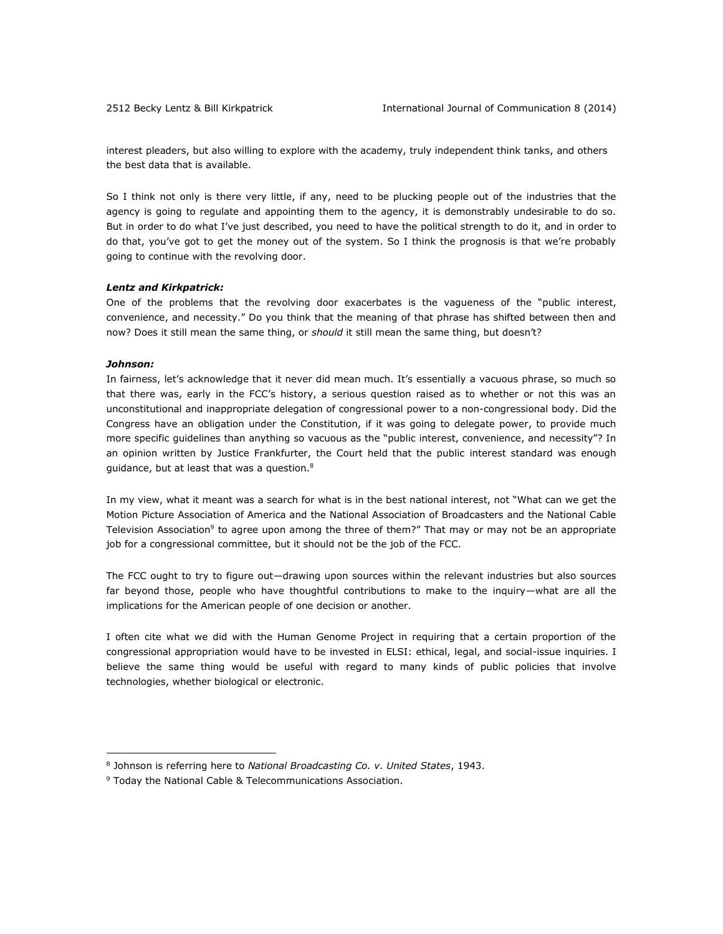interest pleaders, but also willing to explore with the academy, truly independent think tanks, and others the best data that is available.

So I think not only is there very little, if any, need to be plucking people out of the industries that the agency is going to regulate and appointing them to the agency, it is demonstrably undesirable to do so. But in order to do what I've just described, you need to have the political strength to do it, and in order to do that, you've got to get the money out of the system. So I think the prognosis is that we're probably going to continue with the revolving door.

## *Lentz and Kirkpatrick:*

One of the problems that the revolving door exacerbates is the vagueness of the "public interest, convenience, and necessity." Do you think that the meaning of that phrase has shifted between then and now? Does it still mean the same thing, or *should* it still mean the same thing, but doesn't?

## *Johnson:*

 $\overline{a}$ 

In fairness, let's acknowledge that it never did mean much. It's essentially a vacuous phrase, so much so that there was, early in the FCC's history, a serious question raised as to whether or not this was an unconstitutional and inappropriate delegation of congressional power to a non-congressional body. Did the Congress have an obligation under the Constitution, if it was going to delegate power, to provide much more specific guidelines than anything so vacuous as the "public interest, convenience, and necessity"? In an opinion written by Justice Frankfurter, the Court held that the public interest standard was enough guidance, but at least that was a question.<sup>8</sup>

In my view, what it meant was a search for what is in the best national interest, not "What can we get the Motion Picture Association of America and the National Association of Broadcasters and the National Cable Television Association<sup>9</sup> to agree upon among the three of them?" That may or may not be an appropriate job for a congressional committee, but it should not be the job of the FCC.

The FCC ought to try to figure out—drawing upon sources within the relevant industries but also sources far beyond those, people who have thoughtful contributions to make to the inquiry—what are all the implications for the American people of one decision or another.

I often cite what we did with the Human Genome Project in requiring that a certain proportion of the congressional appropriation would have to be invested in ELSI: ethical, legal, and social-issue inquiries. I believe the same thing would be useful with regard to many kinds of public policies that involve technologies, whether biological or electronic.

<sup>8</sup> Johnson is referring here to *National Broadcasting Co. v. United States*, 1943.

<sup>&</sup>lt;sup>9</sup> Today the National Cable & Telecommunications Association.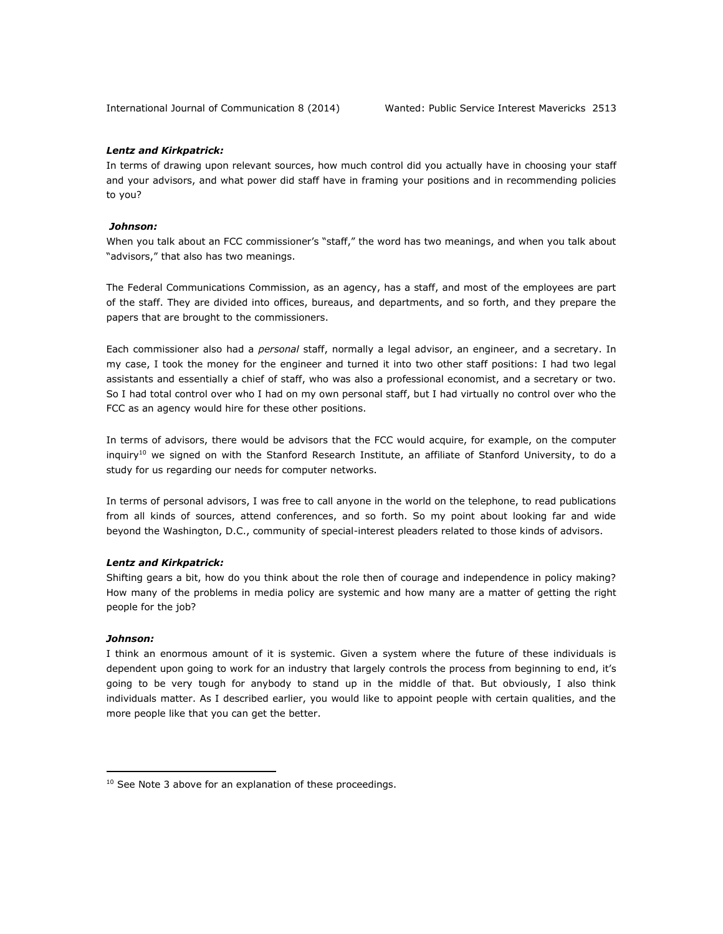## *Lentz and Kirkpatrick:*

In terms of drawing upon relevant sources, how much control did you actually have in choosing your staff and your advisors, and what power did staff have in framing your positions and in recommending policies to you?

## *Johnson:*

When you talk about an FCC commissioner's "staff," the word has two meanings, and when you talk about "advisors," that also has two meanings.

The Federal Communications Commission, as an agency, has a staff, and most of the employees are part of the staff. They are divided into offices, bureaus, and departments, and so forth, and they prepare the papers that are brought to the commissioners.

Each commissioner also had a *personal* staff, normally a legal advisor, an engineer, and a secretary. In my case, I took the money for the engineer and turned it into two other staff positions: I had two legal assistants and essentially a chief of staff, who was also a professional economist, and a secretary or two. So I had total control over who I had on my own personal staff, but I had virtually no control over who the FCC as an agency would hire for these other positions.

In terms of advisors, there would be advisors that the FCC would acquire, for example, on the computer inquiry<sup>10</sup> we signed on with the Stanford Research Institute, an affiliate of Stanford University, to do a study for us regarding our needs for computer networks.

In terms of personal advisors, I was free to call anyone in the world on the telephone, to read publications from all kinds of sources, attend conferences, and so forth. So my point about looking far and wide beyond the Washington, D.C., community of special-interest pleaders related to those kinds of advisors.

## *Lentz and Kirkpatrick:*

Shifting gears a bit, how do you think about the role then of courage and independence in policy making? How many of the problems in media policy are systemic and how many are a matter of getting the right people for the job?

## *Johnson:*

 $\overline{a}$ 

I think an enormous amount of it is systemic. Given a system where the future of these individuals is dependent upon going to work for an industry that largely controls the process from beginning to end, it's going to be very tough for anybody to stand up in the middle of that. But obviously, I also think individuals matter. As I described earlier, you would like to appoint people with certain qualities, and the more people like that you can get the better.

 $10$  See Note 3 above for an explanation of these proceedings.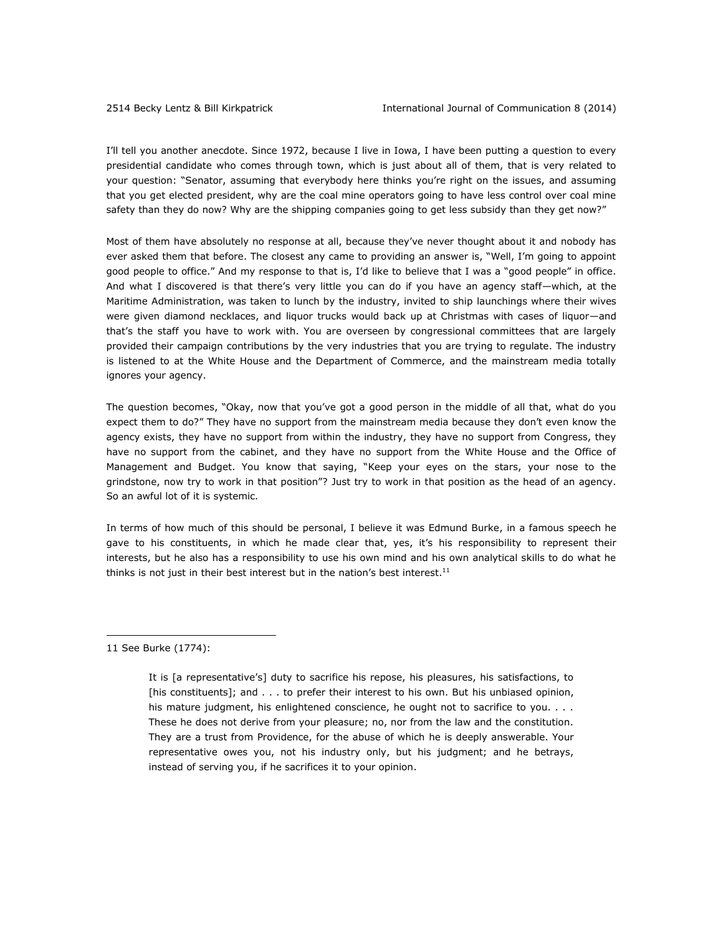I'll tell you another anecdote. Since 1972, because I live in Iowa, I have been putting a question to every presidential candidate who comes through town, which is just about all of them, that is very related to your question: "Senator, assuming that everybody here thinks you're right on the issues, and assuming that you get elected president, why are the coal mine operators going to have less control over coal mine safety than they do now? Why are the shipping companies going to get less subsidy than they get now?"

Most of them have absolutely no response at all, because they've never thought about it and nobody has ever asked them that before. The closest any came to providing an answer is, "Well, I'm going to appoint good people to office." And my response to that is, I'd like to believe that I was a "good people" in office. And what I discovered is that there's very little you can do if you have an agency staff—which, at the Maritime Administration, was taken to lunch by the industry, invited to ship launchings where their wives were given diamond necklaces, and liquor trucks would back up at Christmas with cases of liquor—and that's the staff you have to work with. You are overseen by congressional committees that are largely provided their campaign contributions by the very industries that you are trying to regulate. The industry is listened to at the White House and the Department of Commerce, and the mainstream media totally ignores your agency.

The question becomes, "Okay, now that you've got a good person in the middle of all that, what do you expect them to do?" They have no support from the mainstream media because they don't even know the agency exists, they have no support from within the industry, they have no support from Congress, they have no support from the cabinet, and they have no support from the White House and the Office of Management and Budget. You know that saying, "Keep your eyes on the stars, your nose to the grindstone, now try to work in that position"? Just try to work in that position as the head of an agency. So an awful lot of it is systemic.

In terms of how much of this should be personal, I believe it was Edmund Burke, in a famous speech he gave to his constituents, in which he made clear that, yes, it's his responsibility to represent their interests, but he also has a responsibility to use his own mind and his own analytical skills to do what he thinks is not just in their best interest but in the nation's best interest.<sup>11</sup>

11 See Burke (1774):

It is [a representative's] duty to sacrifice his repose, his pleasures, his satisfactions, to [his constituents]; and . . . to prefer their interest to his own. But his unbiased opinion, his mature judgment, his enlightened conscience, he ought not to sacrifice to you. . . . These he does not derive from your pleasure; no, nor from the law and the constitution. They are a trust from Providence, for the abuse of which he is deeply answerable. Your representative owes you, not his industry only, but his judgment; and he betrays, instead of serving you, if he sacrifices it to your opinion.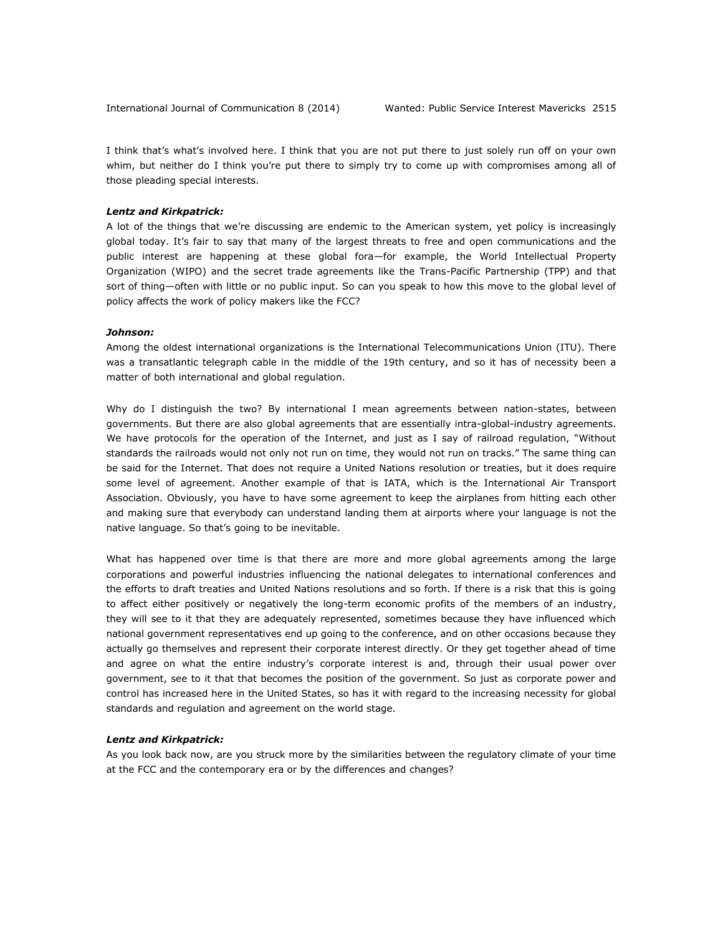I think that's what's involved here. I think that you are not put there to just solely run off on your own whim, but neither do I think you're put there to simply try to come up with compromises among all of those pleading special interests.

#### *Lentz and Kirkpatrick:*

A lot of the things that we're discussing are endemic to the American system, yet policy is increasingly global today. It's fair to say that many of the largest threats to free and open communications and the public interest are happening at these global fora—for example, the World Intellectual Property Organization (WIPO) and the secret trade agreements like the Trans-Pacific Partnership (TPP) and that sort of thing—often with little or no public input. So can you speak to how this move to the global level of policy affects the work of policy makers like the FCC?

#### *Johnson:*

Among the oldest international organizations is the International Telecommunications Union (ITU). There was a transatlantic telegraph cable in the middle of the 19th century, and so it has of necessity been a matter of both international and global regulation.

Why do I distinguish the two? By international I mean agreements between nation-states, between governments. But there are also global agreements that are essentially intra-global-industry agreements. We have protocols for the operation of the Internet, and just as I say of railroad regulation, "Without standards the railroads would not only not run on time, they would not run on tracks." The same thing can be said for the Internet. That does not require a United Nations resolution or treaties, but it does require some level of agreement. Another example of that is IATA, which is the International Air Transport Association. Obviously, you have to have some agreement to keep the airplanes from hitting each other and making sure that everybody can understand landing them at airports where your language is not the native language. So that's going to be inevitable.

What has happened over time is that there are more and more global agreements among the large corporations and powerful industries influencing the national delegates to international conferences and the efforts to draft treaties and United Nations resolutions and so forth. If there is a risk that this is going to affect either positively or negatively the long-term economic profits of the members of an industry, they will see to it that they are adequately represented, sometimes because they have influenced which national government representatives end up going to the conference, and on other occasions because they actually go themselves and represent their corporate interest directly. Or they get together ahead of time and agree on what the entire industry's corporate interest is and, through their usual power over government, see to it that that becomes the position of the government. So just as corporate power and control has increased here in the United States, so has it with regard to the increasing necessity for global standards and regulation and agreement on the world stage.

#### *Lentz and Kirkpatrick:*

As you look back now, are you struck more by the similarities between the regulatory climate of your time at the FCC and the contemporary era or by the differences and changes?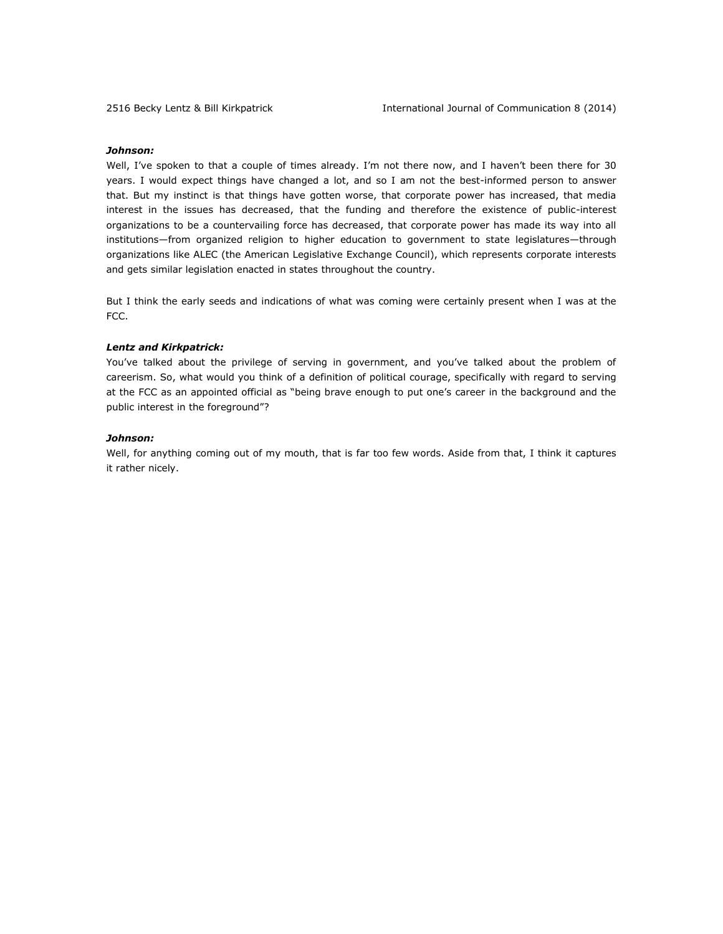## *Johnson:*

Well, I've spoken to that a couple of times already. I'm not there now, and I haven't been there for 30 years. I would expect things have changed a lot, and so I am not the best-informed person to answer that. But my instinct is that things have gotten worse, that corporate power has increased, that media interest in the issues has decreased, that the funding and therefore the existence of public-interest organizations to be a countervailing force has decreased, that corporate power has made its way into all institutions—from organized religion to higher education to government to state legislatures—through organizations like ALEC (the American Legislative Exchange Council), which represents corporate interests and gets similar legislation enacted in states throughout the country.

But I think the early seeds and indications of what was coming were certainly present when I was at the FCC.

## *Lentz and Kirkpatrick:*

You've talked about the privilege of serving in government, and you've talked about the problem of careerism. So, what would you think of a definition of political courage, specifically with regard to serving at the FCC as an appointed official as "being brave enough to put one's career in the background and the public interest in the foreground"?

#### *Johnson:*

Well, for anything coming out of my mouth, that is far too few words. Aside from that, I think it captures it rather nicely.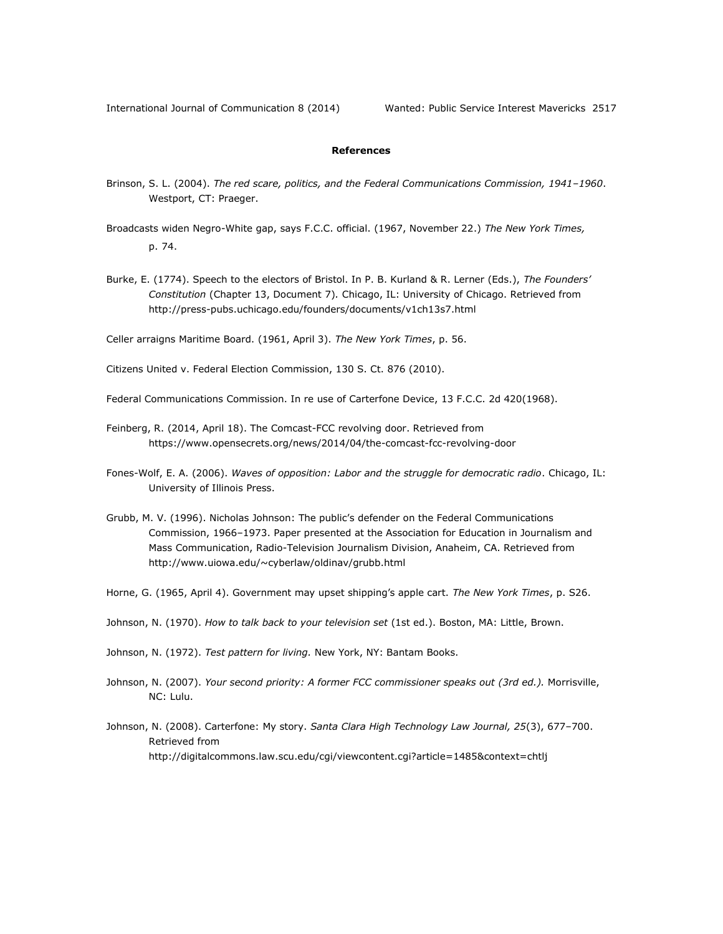## **References**

- Brinson, S. L. (2004). *The red scare, politics, and the Federal Communications Commission, 1941–1960*. Westport, CT: Praeger.
- Broadcasts widen Negro-White gap, says F.C.C. official. (1967, November 22.) *The New York Times,*  p. 74.
- Burke, E. (1774). Speech to the electors of Bristol. In P. B. Kurland & R. Lerner (Eds.), *The Founders' Constitution* (Chapter 13, Document 7)*.* Chicago, IL: University of Chicago. Retrieved from <http://press-pubs.uchicago.edu/founders/documents/v1ch13s7.html>

Celler arraigns Maritime Board. (1961, April 3). *The New York Times*, p. 56.

Citizens United v. Federal Election Commission, 130 S. Ct. 876 (2010).

Federal Communications Commission. In re use of Carterfone Device, 13 F.C.C. 2d 420(1968).

- Feinberg, R. (2014, April 18). The Comcast-FCC revolving door. Retrieved from <https://www.opensecrets.org/news/2014/04/the-comcast-fcc-revolving-door>
- Fones-Wolf, E. A. (2006). *Waves of opposition: Labor and the struggle for democratic radio*. Chicago, IL: University of Illinois Press.
- Grubb, M. V. (1996). Nicholas Johnson: The public's defender on the Federal Communications Commission, 1966–1973. Paper presented at the Association for Education in Journalism and Mass Communication, Radio-Television Journalism Division, Anaheim, CA. Retrieved from <http://www.uiowa.edu/~cyberlaw/oldinav/grubb.html>

Horne, G. (1965, April 4). Government may upset shipping's apple cart. *The New York Times*, p. S26.

Johnson, N. (1970). *How to talk back to your television set* (1st ed.). Boston, MA: Little, Brown.

Johnson, N. (1972). *Test pattern for living.* New York, NY: Bantam Books.

Johnson, N. (2007). *Your second priority: A former FCC commissioner speaks out (3rd ed.).* Morrisville, NC: Lulu.

Johnson, N. (2008). Carterfone: My story. *Santa Clara High Technology Law Journal, 25*(3), 677–700. Retrieved from <http://digitalcommons.law.scu.edu/cgi/viewcontent.cgi?article=1485&context=chtlj>